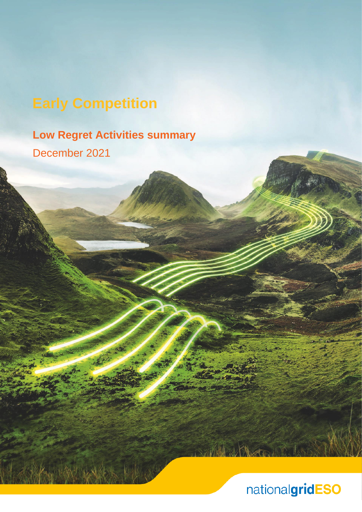# **Early Competition**

## **Low Regret Activities summary** December 2021

## nationalgridESO

M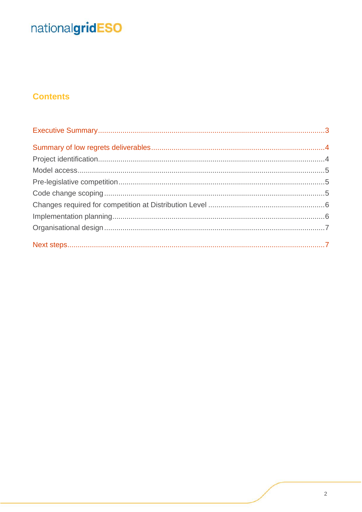### **Contents**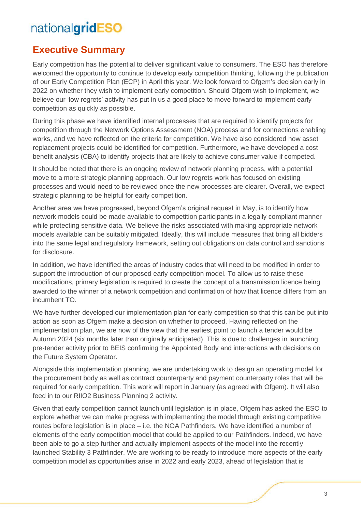### <span id="page-2-0"></span>**Executive Summary**

Early competition has the potential to deliver significant value to consumers. The ESO has therefore welcomed the opportunity to continue to develop early competition thinking, following the publication of our Early Competition Plan (ECP) in April this year. We look forward to Ofgem's decision early in 2022 on whether they wish to implement early competition. Should Ofgem wish to implement, we believe our 'low regrets' activity has put in us a good place to move forward to implement early competition as quickly as possible.

During this phase we have identified internal processes that are required to identify projects for competition through the Network Options Assessment (NOA) process and for connections enabling works, and we have reflected on the criteria for competition. We have also considered how asset replacement projects could be identified for competition. Furthermore, we have developed a cost benefit analysis (CBA) to identify projects that are likely to achieve consumer value if competed.

It should be noted that there is an ongoing review of network planning process, with a potential move to a more strategic planning approach. Our low regrets work has focused on existing processes and would need to be reviewed once the new processes are clearer. Overall, we expect strategic planning to be helpful for early competition.

Another area we have progressed, beyond Ofgem's original request in May, is to identify how network models could be made available to competition participants in a legally compliant manner while protecting sensitive data. We believe the risks associated with making appropriate network models available can be suitably mitigated. Ideally, this will include measures that bring all bidders into the same legal and regulatory framework, setting out obligations on data control and sanctions for disclosure.

In addition, we have identified the areas of industry codes that will need to be modified in order to support the introduction of our proposed early competition model. To allow us to raise these modifications, primary legislation is required to create the concept of a transmission licence being awarded to the winner of a network competition and confirmation of how that licence differs from an incumbent TO.

We have further developed our implementation plan for early competition so that this can be put into action as soon as Ofgem make a decision on whether to proceed. Having reflected on the implementation plan, we are now of the view that the earliest point to launch a tender would be Autumn 2024 (six months later than originally anticipated). This is due to challenges in launching pre-tender activity prior to BEIS confirming the Appointed Body and interactions with decisions on the Future System Operator.

Alongside this implementation planning, we are undertaking work to design an operating model for the procurement body as well as contract counterparty and payment counterparty roles that will be required for early competition. This work will report in January (as agreed with Ofgem). It will also feed in to our RIIO2 Business Planning 2 activity.

Given that early competition cannot launch until legislation is in place, Ofgem has asked the ESO to explore whether we can make progress with implementing the model through existing competitive routes before legislation is in place – i.e. the NOA Pathfinders. We have identified a number of elements of the early competition model that could be applied to our Pathfinders. Indeed, we have been able to go a step further and actually implement aspects of the model into the recently launched Stability 3 Pathfinder. We are working to be ready to introduce more aspects of the early competition model as opportunities arise in 2022 and early 2023, ahead of legislation that is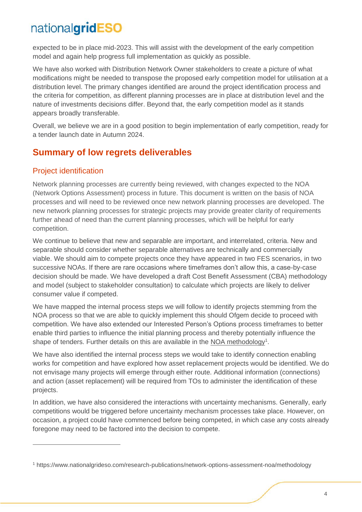expected to be in place mid-2023. This will assist with the development of the early competition model and again help progress full implementation as quickly as possible.

We have also worked with Distribution Network Owner stakeholders to create a picture of what modifications might be needed to transpose the proposed early competition model for utilisation at a distribution level. The primary changes identified are around the project identification process and the criteria for competition, as different planning processes are in place at distribution level and the nature of investments decisions differ. Beyond that, the early competition model as it stands appears broadly transferable.

Overall, we believe we are in a good position to begin implementation of early competition, ready for a tender launch date in Autumn 2024.

### <span id="page-3-0"></span>**Summary of low regrets deliverables**

#### <span id="page-3-1"></span>Project identification

Network planning processes are currently being reviewed, with changes expected to the NOA (Network Options Assessment) process in future. This document is written on the basis of NOA processes and will need to be reviewed once new network planning processes are developed. The new network planning processes for strategic projects may provide greater clarity of requirements further ahead of need than the current planning processes, which will be helpful for early competition.

We continue to believe that new and separable are important, and interrelated, criteria. New and separable should consider whether separable alternatives are technically and commercially viable. We should aim to compete projects once they have appeared in two FES scenarios, in two successive NOAs. If there are rare occasions where timeframes don't allow this, a case-by-case decision should be made. We have developed a draft Cost Benefit Assessment (CBA) methodology and model (subject to stakeholder consultation) to calculate which projects are likely to deliver consumer value if competed.

We have mapped the internal process steps we will follow to identify projects stemming from the NOA process so that we are able to quickly implement this should Ofgem decide to proceed with competition. We have also extended our Interested Person's Options process timeframes to better enable third parties to influence the initial planning process and thereby potentially influence the shape of tenders. Further details on this are available in the [NOA methodology](https://www.nationalgrideso.com/research-publications/network-options-assessment-noa/methodology)<sup>1</sup>.

We have also identified the internal process steps we would take to identify connection enabling works for competition and have explored how asset replacement projects would be identified. We do not envisage many projects will emerge through either route. Additional information (connections) and action (asset replacement) will be required from TOs to administer the identification of these projects.

In addition, we have also considered the interactions with uncertainty mechanisms. Generally, early competitions would be triggered before uncertainty mechanism processes take place. However, on occasion, a project could have commenced before being competed, in which case any costs already foregone may need to be factored into the decision to compete.

<sup>1</sup> https://www.nationalgrideso.com/research-publications/network-options-assessment-noa/methodology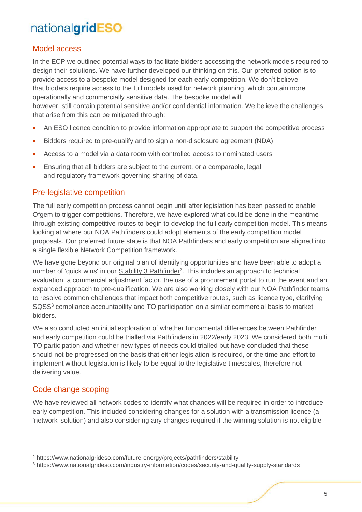#### <span id="page-4-0"></span>Model access

In the ECP we outlined potential ways to facilitate bidders accessing the network models required to design their solutions. We have further developed our thinking on this. Our preferred option is to provide access to a bespoke model designed for each early competition. We don't believe that bidders require access to the full models used for network planning, which contain more operationally and commercially sensitive data. The bespoke model will, however, still contain potential sensitive and/or confidential information. We believe the challenges that arise from this can be mitigated through:

- An ESO licence condition to provide information appropriate to support the competitive process
- Bidders required to pre-qualify and to sign a non-disclosure agreement (NDA)
- Access to a model via a data room with controlled access to nominated users
- Ensuring that all bidders are subject to the current, or a comparable, legal and regulatory framework governing sharing of data.

#### <span id="page-4-1"></span>Pre-legislative competition

The full early competition process cannot begin until after legislation has been passed to enable Ofgem to trigger competitions. Therefore, we have explored what could be done in the meantime through existing competitive routes to begin to develop the full early competition model. This means looking at where our NOA Pathfinders could adopt elements of the early competition model proposals. Our preferred future state is that NOA Pathfinders and early competition are aligned into a single flexible Network Competition framework.

We have gone beyond our original plan of identifying opportunities and have been able to adopt a number of 'quick wins' in our **Stability 3 Pathfinder**<sup>2</sup>. This includes an approach to technical evaluation, a commercial adjustment factor, the use of a procurement portal to run the event and an expanded approach to pre-qualification. We are also working closely with our NOA Pathfinder teams to resolve common challenges that impact both competitive routes, such as licence type, clarifying [SQSS](https://www.nationalgrideso.com/industry-information/codes/security-and-quality-supply-standards)<sup>3</sup> compliance accountability and TO participation on a similar commercial basis to market bidders.

We also conducted an initial exploration of whether fundamental differences between Pathfinder and early competition could be trialled via Pathfinders in 2022/early 2023. We considered both multi TO participation and whether new types of needs could trialled but have concluded that these should not be progressed on the basis that either legislation is required, or the time and effort to implement without legislation is likely to be equal to the legislative timescales, therefore not delivering value.

#### <span id="page-4-2"></span>Code change scoping

We have reviewed all network codes to identify what changes will be required in order to introduce early competition. This included considering changes for a solution with a transmission licence (a 'network' solution) and also considering any changes required if the winning solution is not eligible

<sup>2</sup> https://www.nationalgrideso.com/future-energy/projects/pathfinders/stability

<sup>3</sup> https://www.nationalgrideso.com/industry-information/codes/security-and-quality-supply-standards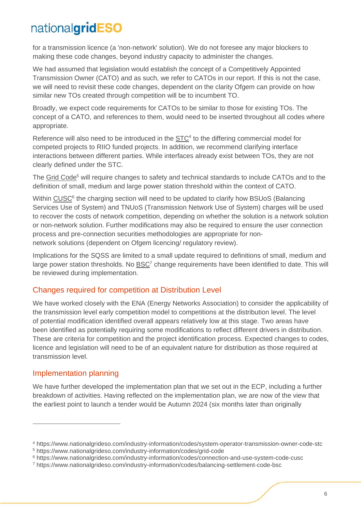for a transmission licence (a 'non-network' solution). We do not foresee any major blockers to making these code changes, beyond industry capacity to administer the changes.

We had assumed that legislation would establish the concept of a Competitively Appointed Transmission Owner (CATO) and as such, we refer to CATOs in our report. If this is not the case, we will need to revisit these code changes, dependent on the clarity Ofgem can provide on how similar new TOs created through competition will be to incumbent TO.

Broadly, we expect code requirements for CATOs to be similar to those for existing TOs. The concept of a CATO, and references to them, would need to be inserted throughout all codes where appropriate.

Reference will also need to be introduced in the  $STC<sup>4</sup>$  to the differing commercial model for competed projects to RIIO funded projects. In addition, we recommend clarifying interface interactions between different parties. While interfaces already exist between TOs, they are not clearly defined under the STC.

The [Grid Code](https://www.nationalgrideso.com/industry-information/codes/grid-code)<sup>5</sup> will require changes to safety and technical standards to include CATOs and to the definition of small, medium and large power station threshold within the context of CATO.

<span id="page-5-2"></span>Within [CUSC](#page-5-2)<sup>6</sup> the charging section will need to be updated to clarify how BSUoS (Balancing Services Use of System) and TNUoS (Transmission Network Use of System) charges will be used to recover the costs of network competition, depending on whether the solution is a network solution or non-network solution. Further modifications may also be required to ensure the user connection process and pre-connection securities methodologies are appropriate for nonnetwork solutions (dependent on Ofgem licencing/ regulatory review).

Implications for the SQSS are limited to a small update required to definitions of small, medium and large power station thresholds. No [BSC](https://www.nationalgrideso.com/industry-information/codes/balancing-settlement-code-bsc)<sup>7</sup> change requirements have been identified to date. This will be reviewed during implementation.

#### <span id="page-5-0"></span>Changes required for competition at Distribution Level

We have worked closely with the ENA (Energy Networks Association) to consider the applicability of the transmission level early competition model to competitions at the distribution level. The level of potential modification identified overall appears relatively low at this stage. Two areas have been identified as potentially requiring some modifications to reflect different drivers in distribution. These are criteria for competition and the project identification process. Expected changes to codes, licence and legislation will need to be of an equivalent nature for distribution as those required at transmission level.

#### <span id="page-5-1"></span>Implementation planning

We have further developed the implementation plan that we set out in the ECP, including a further breakdown of activities. Having reflected on the implementation plan, we are now of the view that the earliest point to launch a tender would be Autumn 2024 (six months later than originally

<sup>4</sup> https://www.nationalgrideso.com/industry-information/codes/system-operator-transmission-owner-code-stc

<sup>5</sup> https://www.nationalgrideso.com/industry-information/codes/grid-code

<sup>6</sup> https://www.nationalgrideso.com/industry-information/codes/connection-and-use-system-code-cusc

<sup>7</sup> https://www.nationalgrideso.com/industry-information/codes/balancing-settlement-code-bsc